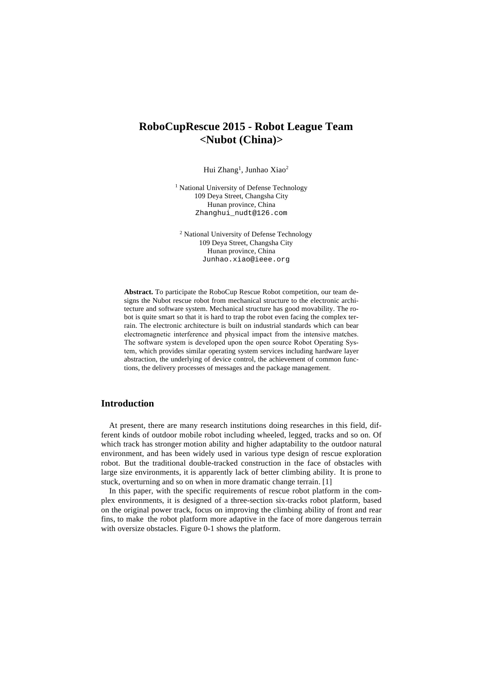# **RoboCupRescue 2015 - Robot League Team <Nubot (China)>**

Hui Zhang<sup>1</sup>, Junhao Xiao<sup>2</sup>

<sup>1</sup> National University of Defense Technology 109 Deya Street, Changsha City Hunan province, China Zhanghui\_nudt@126.com

<sup>2</sup> National University of Defense Technology 109 Deya Street, Changsha City Hunan province, China Junhao.xiao@ieee.org

**Abstract.** To participate the RoboCup Rescue Robot competition, our team designs the Nubot rescue robot from mechanical structure to the electronic architecture and software system. Mechanical structure has good movability. The robot is quite smart so that it is hard to trap the robot even facing the complex terrain. The electronic architecture is built on industrial standards which can bear electromagnetic interference and physical impact from the intensive matches. The software system is developed upon the open source Robot Operating System, which provides similar operating system services including hardware layer abstraction, the underlying of device control, the achievement of common functions, the delivery processes of messages and the package management.

### **Introduction**

At present, there are many research institutions doing researches in this field, different kinds of outdoor mobile robot including wheeled, legged, tracks and so on. Of which track has stronger motion ability and higher adaptability to the outdoor natural environment, and has been widely used in various type design of rescue exploration robot. But the traditional double-tracked construction in the face of obstacles with large size environments, it is apparently lack of better climbing ability. It is prone to stuck, overturning and so on when in more dramatic change terrain. [1]

In this paper, with the specific requirements of rescue robot platform in the complex environments, it is designed of a three-section six-tracks robot platform, based on the original power track, focus on improving the climbing ability of front and rear fins, to make the robot platform more adaptive in the face of more dangerous terrain with oversize obstacles. Figure 0-1 shows the platform.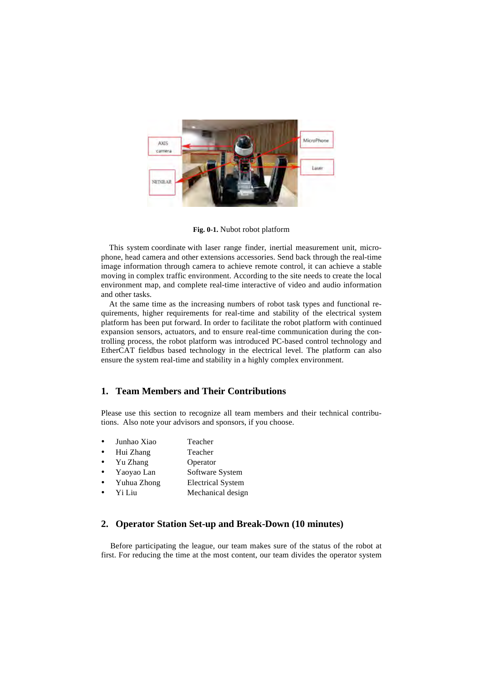

**Fig. 0-1.** Nubot robot platform

This system coordinate with laser range finder, inertial measurement unit, microphone, head camera and other extensions accessories. Send back through the real-time image information through camera to achieve remote control, it can achieve a stable moving in complex traffic environment. According to the site needs to create the local environment map, and complete real-time interactive of video and audio information and other tasks.

At the same time as the increasing numbers of robot task types and functional requirements, higher requirements for real-time and stability of the electrical system platform has been put forward. In order to facilitate the robot platform with continued expansion sensors, actuators, and to ensure real-time communication during the controlling process, the robot platform was introduced PC-based control technology and EtherCAT fieldbus based technology in the electrical level. The platform can also ensure the system real-time and stability in a highly complex environment.

#### **1. Team Members and Their Contributions**

Please use this section to recognize all team members and their technical contributions. Also note your advisors and sponsors, if you choose.

- Junhao Xiao Teacher
- Hui Zhang Teacher
- Yu Zhang Operator
- Yaoyao Lan Software System
- Yuhua Zhong Electrical System
- Yi Liu Mechanical design

### **2. Operator Station Set-up and Break-Down (10 minutes)**

Before participating the league, our team makes sure of the status of the robot at first. For reducing the time at the most content, our team divides the operator system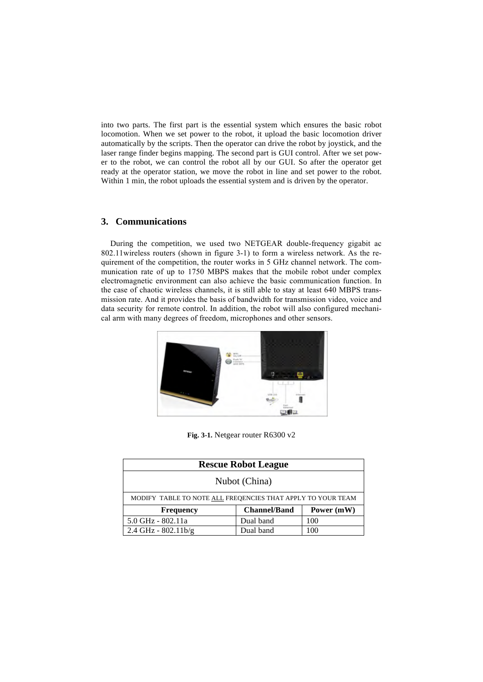into two parts. The first part is the essential system which ensures the basic robot locomotion. When we set power to the robot, it upload the basic locomotion driver automatically by the scripts. Then the operator can drive the robot by joystick, and the laser range finder begins mapping. The second part is GUI control. After we set power to the robot, we can control the robot all by our GUI. So after the operator get ready at the operator station, we move the robot in line and set power to the robot. Within 1 min, the robot uploads the essential system and is driven by the operator.

#### **3. Communications**

During the competition, we used two NETGEAR double-frequency gigabit ac 802.11wireless routers (shown in figure 3-1) to form a wireless network. As the requirement of the competition, the router works in 5 GHz channel network. The communication rate of up to 1750 MBPS makes that the mobile robot under complex electromagnetic environment can also achieve the basic communication function. In the case of chaotic wireless channels, it is still able to stay at least 640 MBPS transmission rate. And it provides the basis of bandwidth for transmission video, voice and data security for remote control. In addition, the robot will also configured mechanical arm with many degrees of freedom, microphones and other sensors.



**Fig. 3-1.** Netgear router R6300 v2

| <b>Rescue Robot League</b>                                  |                     |            |  |
|-------------------------------------------------------------|---------------------|------------|--|
| Nubot (China)                                               |                     |            |  |
| MODIFY TABLE TO NOTE ALL FREQENCIES THAT APPLY TO YOUR TEAM |                     |            |  |
| <b>Frequency</b>                                            | <b>Channel/Band</b> | Power (mW) |  |
| 5.0 GHz - 802.11a                                           | Dual band           | 100        |  |
| $2.4$ GHz - $802.11$ b/g                                    | Dual band           | 100        |  |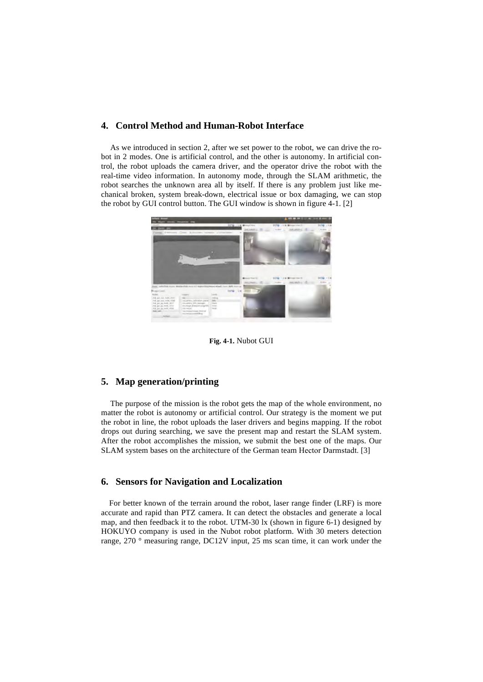#### **4. Control Method and Human-Robot Interface**

As we introduced in section 2, after we set power to the robot, we can drive the robot in 2 modes. One is artificial control, and the other is autonomy. In artificial control, the robot uploads the camera driver, and the operator drive the robot with the real-time video information. In autonomy mode, through the SLAM arithmetic, the robot searches the unknown area all by itself. If there is any problem just like mechanical broken, system break-down, electrical issue or box damaging, we can stop the robot by GUI control button. The GUI window is shown in figure 4-1. [2]



**Fig. 4-1.** Nubot GUI

#### **5. Map generation/printing**

The purpose of the mission is the robot gets the map of the whole environment, no matter the robot is autonomy or artificial control. Our strategy is the moment we put the robot in line, the robot uploads the laser drivers and begins mapping. If the robot drops out during searching, we save the present map and restart the SLAM system. After the robot accomplishes the mission, we submit the best one of the maps. Our SLAM system bases on the architecture of the German team Hector Darmstadt. [3]

#### **6. Sensors for Navigation and Localization**

For better known of the terrain around the robot, laser range finder (LRF) is more accurate and rapid than PTZ camera. It can detect the obstacles and generate a local map, and then feedback it to the robot. UTM-30 lx (shown in figure 6-1) designed by HOKUYO company is used in the Nubot robot platform. With 30 meters detection range, 270 ° measuring range, DC12V input, 25 ms scan time, it can work under the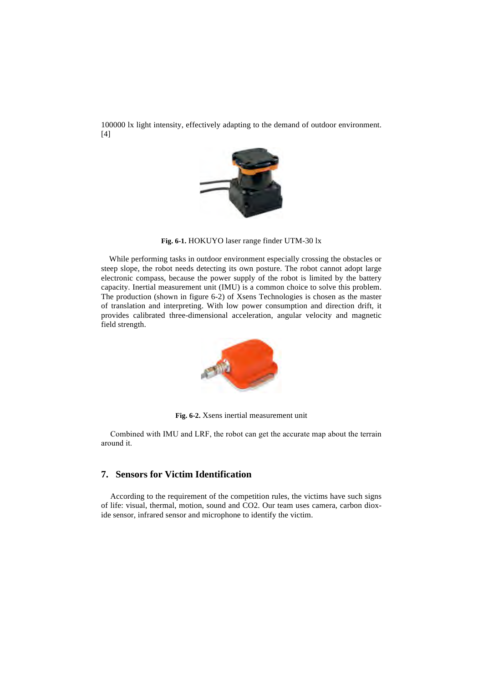100000 lx light intensity, effectively adapting to the demand of outdoor environment. [4]



**Fig. 6-1.** HOKUYO laser range finder UTM-30 lx

While performing tasks in outdoor environment especially crossing the obstacles or steep slope, the robot needs detecting its own posture. The robot cannot adopt large electronic compass, because the power supply of the robot is limited by the battery capacity. Inertial measurement unit (IMU) is a common choice to solve this problem. The production (shown in figure 6-2) of Xsens Technologies is chosen as the master of translation and interpreting. With low power consumption and direction drift, it provides calibrated three-dimensional acceleration, angular velocity and magnetic field strength.



**Fig. 6-2.** Xsens inertial measurement unit

Combined with IMU and LRF, the robot can get the accurate map about the terrain around it.

# **7. Sensors for Victim Identification**

According to the requirement of the competition rules, the victims have such signs of life: visual, thermal, motion, sound and CO2. Our team uses camera, carbon dioxide sensor, infrared sensor and microphone to identify the victim.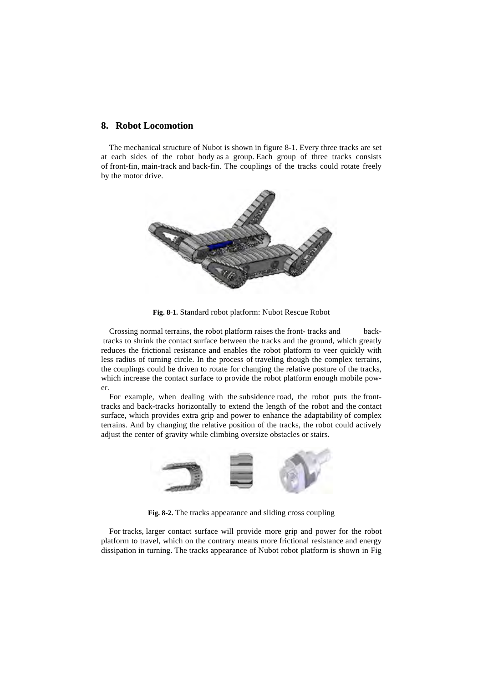#### **8. Robot Locomotion**

The mechanical structure of Nubot is shown in figure 8-1. Every three tracks are set at each sides of the robot body as a group. Each group of three tracks consists of front-fin, main-track and back-fin. The couplings of the tracks could rotate freely by the motor drive.



**Fig. 8-1.** Standard robot platform: Nubot Rescue Robot

Crossing normal terrains, the robot platform raises the front- tracks and backtracks to shrink the contact surface between the tracks and the ground, which greatly reduces the frictional resistance and enables the robot platform to veer quickly with less radius of turning circle. In the process of traveling though the complex terrains, the couplings could be driven to rotate for changing the relative posture of the tracks, which increase the contact surface to provide the robot platform enough mobile power.

For example, when dealing with the subsidence road, the robot puts the fronttracks and back-tracks horizontally to extend the length of the robot and the contact surface, which provides extra grip and power to enhance the adaptability of complex terrains. And by changing the relative position of the tracks, the robot could actively adjust the center of gravity while climbing oversize obstacles or stairs.



**Fig. 8-2.** The tracks appearance and sliding cross coupling

For tracks, larger contact surface will provide more grip and power for the robot platform to travel, which on the contrary means more frictional resistance and energy dissipation in turning. The tracks appearance of Nubot robot platform is shown in Fig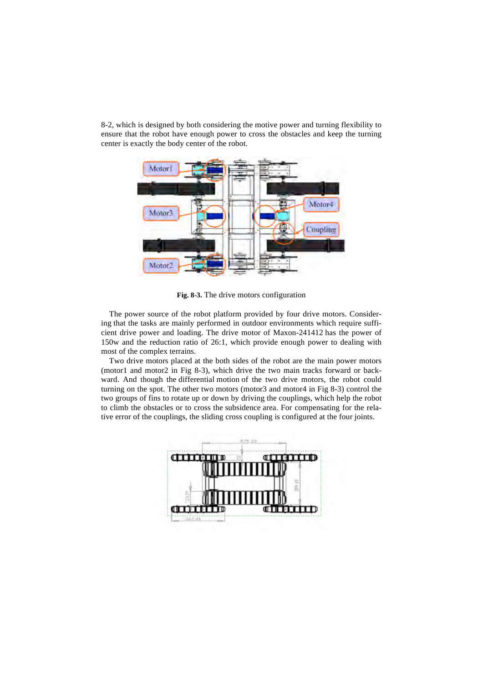8-2, which is designed by both considering the motive power and turning flexibility to ensure that the robot have enough power to cross the obstacles and keep the turning center is exactly the body center of the robot.



**Fig. 8-3.** The drive motors configuration

The power source of the robot platform provided by four drive motors. Considering that the tasks are mainly performed in outdoor environments which require sufficient drive power and loading. The drive motor of Maxon-241412 has the power of 150w and the reduction ratio of 26:1, which provide enough power to dealing with most of the complex terrains.

Two drive motors placed at the both sides of the robot are the main power motors (motor1 and motor2 in Fig 8-3), which drive the two main tracks forward or backward. And though the differential motion of the two drive motors, the robot could turning on the spot. The other two motors (motor3 and motor4 in Fig 8-3) control the two groups of fins to rotate up or down by driving the couplings, which help the robot to climb the obstacles or to cross the subsidence area. For compensating for the relative error of the couplings, the sliding cross coupling is configured at the four joints.

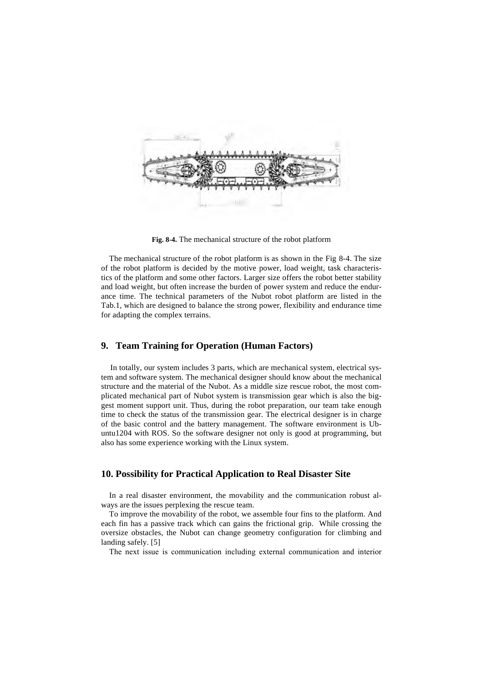

**Fig. 8-4.** The mechanical structure of the robot platform

The mechanical structure of the robot platform is as shown in the Fig 8-4. The size of the robot platform is decided by the motive power, load weight, task characteristics of the platform and some other factors. Larger size offers the robot better stability and load weight, but often increase the burden of power system and reduce the endurance time. The technical parameters of the Nubot robot platform are listed in the Tab.1, which are designed to balance the strong power, flexibility and endurance time for adapting the complex terrains.

#### **9. Team Training for Operation (Human Factors)**

In totally, our system includes 3 parts, which are mechanical system, electrical system and software system. The mechanical designer should know about the mechanical structure and the material of the Nubot. As a middle size rescue robot, the most complicated mechanical part of Nubot system is transmission gear which is also the biggest moment support unit. Thus, during the robot preparation, our team take enough time to check the status of the transmission gear. The electrical designer is in charge of the basic control and the battery management. The software environment is Ubuntu1204 with ROS. So the software designer not only is good at programming, but also has some experience working with the Linux system.

#### **10. Possibility for Practical Application to Real Disaster Site**

In a real disaster environment, the movability and the communication robust always are the issues perplexing the rescue team.

To improve the movability of the robot, we assemble four fins to the platform. And each fin has a passive track which can gains the frictional grip. While crossing the oversize obstacles, the Nubot can change geometry configuration for climbing and landing safely. [5]

The next issue is communication including external communication and interior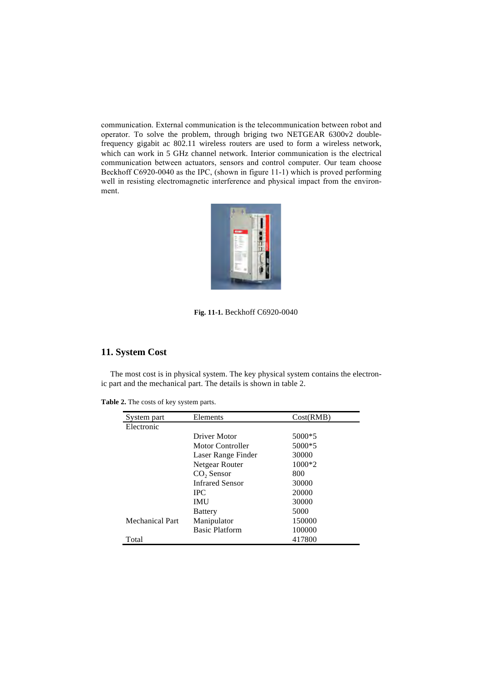communication. External communication is the telecommunication between robot and operator. To solve the problem, through briging two NETGEAR 6300v2 doublefrequency gigabit ac 802.11 wireless routers are used to form a wireless network, which can work in 5 GHz channel network. Interior communication is the electrical communication between actuators, sensors and control computer. Our team choose Beckhoff C6920-0040 as the IPC, (shown in figure 11-1) which is proved performing well in resisting electromagnetic interference and physical impact from the environment.



**Fig. 11-1.** Beckhoff C6920-0040

## **11. System Cost**

The most cost is in physical system. The key physical system contains the electronic part and the mechanical part. The details is shown in table 2.

**Table 2.** The costs of key system parts.

| System part     | Elements               | Cost(RMB) |
|-----------------|------------------------|-----------|
| Electronic      |                        |           |
|                 | Driver Motor           | 5000*5    |
|                 | Motor Controller       | 5000*5    |
|                 | Laser Range Finder     | 30000     |
|                 | Netgear Router         | $1000*2$  |
|                 | $CO2$ Sensor           | 800       |
|                 | <b>Infrared Sensor</b> | 30000     |
|                 | <b>IPC</b>             | 20000     |
|                 | <b>IMU</b>             | 30000     |
|                 | <b>Battery</b>         | 5000      |
| Mechanical Part | Manipulator            | 150000    |
|                 | <b>Basic Platform</b>  | 100000    |
| Total           |                        | 417800    |